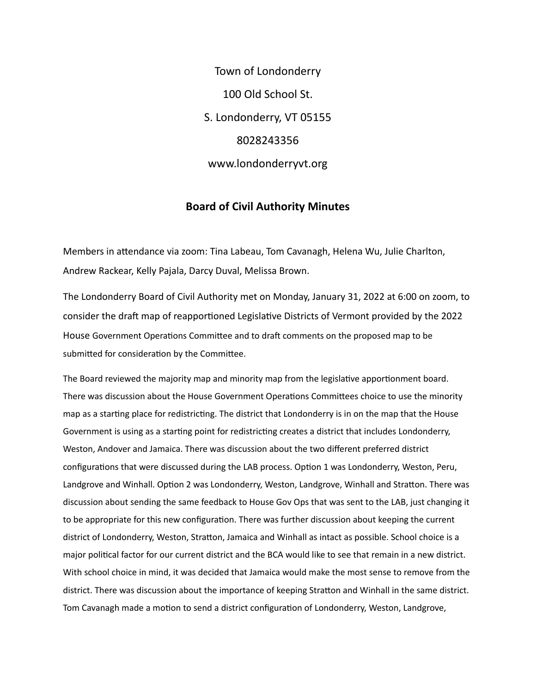Town of Londonderry 100 Old School St. S. Londonderry, VT 05155 8028243356 www.londonderryvt.org

## **Board of Civil Authority Minutes**

Members in attendance via zoom: Tina Labeau, Tom Cavanagh, Helena Wu, Julie Charlton, Andrew Rackear, Kelly Pajala, Darcy Duval, Melissa Brown.

The Londonderry Board of Civil Authority met on Monday, January 31, 2022 at 6:00 on zoom, to consider the draft map of reapportioned Legislative Districts of Vermont provided by the 2022 House Government Operations Committee and to draft comments on the proposed map to be submitted for consideration by the Committee.

The Board reviewed the majority map and minority map from the legislative apportionment board. There was discussion about the House Government Operations Committees choice to use the minority map as a starting place for redistricting. The district that Londonderry is in on the map that the House Government is using as a starting point for redistricting creates a district that includes Londonderry, Weston, Andover and Jamaica. There was discussion about the two different preferred district configurations that were discussed during the LAB process. Option 1 was Londonderry, Weston, Peru, Landgrove and Winhall. Option 2 was Londonderry, Weston, Landgrove, Winhall and Stratton. There was discussion about sending the same feedback to House Gov Ops that was sent to the LAB, just changing it to be appropriate for this new configuration. There was further discussion about keeping the current district of Londonderry, Weston, Stratton, Jamaica and Winhall as intact as possible. School choice is a major political factor for our current district and the BCA would like to see that remain in a new district. With school choice in mind, it was decided that Jamaica would make the most sense to remove from the district. There was discussion about the importance of keeping Stratton and Winhall in the same district. Tom Cavanagh made a motion to send a district configuration of Londonderry, Weston, Landgrove,